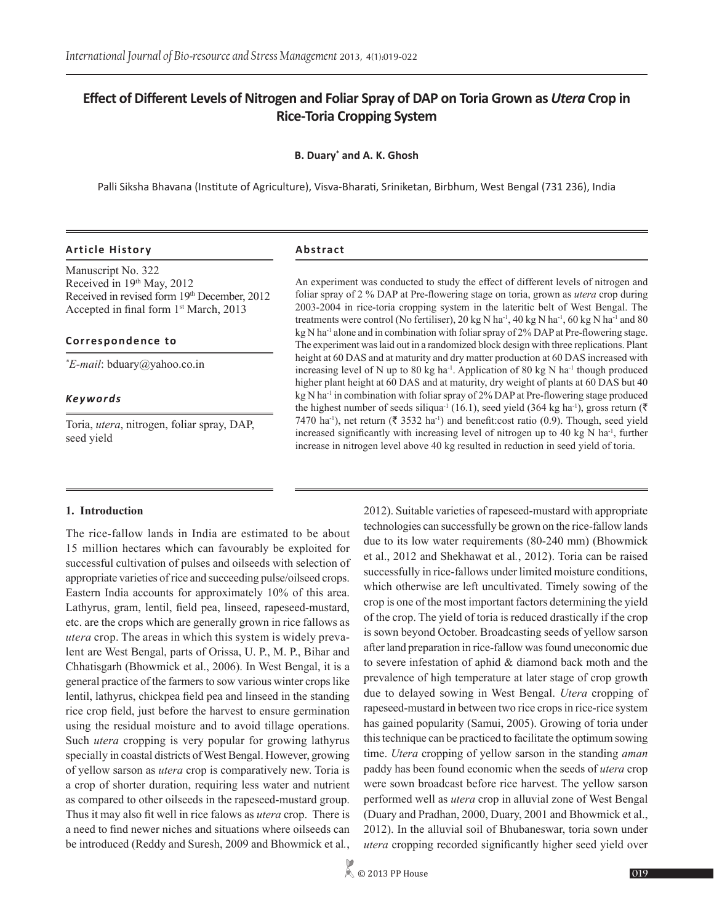# **Effect of Different Levels of Nitrogen and Foliar Spray of DAP on Toria Grown as** *Utera* **Crop in Rice-Toria Cropping System**

## **B. Duary\* and A. K. Ghosh**

Palli Siksha Bhavana (Institute of Agriculture), Visva-Bharati, Sriniketan, Birbhum, West Bengal (731 236), India

## **Article History Abstract**

Manuscript No. 322 Received in 19th May, 2012 Received in revised form 19th December, 2012 Accepted in final form 1st March, 2013

### **Correspondence to**

*\* E-mail*: bduary@yahoo.co.in

#### *Keywords*

Toria, *utera*, nitrogen, foliar spray, DAP, seed yield

An experiment was conducted to study the effect of different levels of nitrogen and foliar spray of 2 % DAP at Pre-flowering stage on toria, grown as *utera* crop during 2003-2004 in rice-toria cropping system in the lateritic belt of West Bengal. The treatments were control (No fertiliser), 20 kg N ha<sup>-1</sup>, 40 kg N ha<sup>-1</sup>, 60 kg N ha<sup>-1</sup> and 80 kg N ha<sup>-1</sup> alone and in combination with foliar spray of 2% DAP at Pre-flowering stage. The experiment was laid out in a randomized block design with three replications. Plant height at 60 DAS and at maturity and dry matter production at 60 DAS increased with increasing level of N up to 80 kg ha<sup>-1</sup>. Application of 80 kg N ha<sup>-1</sup> though produced higher plant height at 60 DAS and at maturity, dry weight of plants at 60 DAS but 40 kg N ha<sup>-1</sup> in combination with foliar spray of 2% DAP at Pre-flowering stage produced the highest number of seeds siliqua<sup>-1</sup> (16.1), seed yield (364 kg ha<sup>-1</sup>), gross return ( $\bar{\tau}$ ) 7470 ha<sup>-1</sup>), net return ( $\bar{\xi}$  3532 ha<sup>-1</sup>) and benefit:cost ratio (0.9). Though, seed yield increased significantly with increasing level of nitrogen up to 40 kg  $N$  ha<sup>-1</sup>, further increase in nitrogen level above 40 kg resulted in reduction in seed yield of toria.

#### **1. Introduction**

The rice-fallow lands in India are estimated to be about 15 million hectares which can favourably be exploited for successful cultivation of pulses and oilseeds with selection of appropriate varieties of rice and succeeding pulse/oilseed crops. Eastern India accounts for approximately 10% of this area. Lathyrus, gram, lentil, field pea, linseed, rapeseed-mustard, etc. are the crops which are generally grown in rice fallows as *utera* crop. The areas in which this system is widely prevalent are West Bengal, parts of Orissa, U. P., M. P., Bihar and Chhatisgarh (Bhowmick et al., 2006). In West Bengal, it is a general practice of the farmers to sow various winter crops like lentil, lathyrus, chickpea field pea and linseed in the standing rice crop field, just before the harvest to ensure germination using the residual moisture and to avoid tillage operations. Such *utera* cropping is very popular for growing lathyrus specially in coastal districts of West Bengal. However, growing of yellow sarson as *utera* crop is comparatively new. Toria is a crop of shorter duration, requiring less water and nutrient as compared to other oilseeds in the rapeseed-mustard group. Thus it may also fit well in rice falows as *utera* crop. There is a need to find newer niches and situations where oilseeds can be introduced (Reddy and Suresh, 2009 and Bhowmick et al*.*,

2012). Suitable varieties of rapeseed-mustard with appropriate technologies can successfully be grown on the rice-fallow lands due to its low water requirements (80-240 mm) (Bhowmick et al., 2012 and Shekhawat et al*.*, 2012). Toria can be raised successfully in rice-fallows under limited moisture conditions, which otherwise are left uncultivated. Timely sowing of the crop is one of the most important factors determining the yield of the crop. The yield of toria is reduced drastically if the crop is sown beyond October. Broadcasting seeds of yellow sarson after land preparation in rice-fallow was found uneconomic due to severe infestation of aphid & diamond back moth and the prevalence of high temperature at later stage of crop growth due to delayed sowing in West Bengal. *Utera* cropping of rapeseed-mustard in between two rice crops in rice-rice system has gained popularity (Samui, 2005). Growing of toria under this technique can be practiced to facilitate the optimum sowing time. *Utera* cropping of yellow sarson in the standing *aman* paddy has been found economic when the seeds of *utera* crop were sown broadcast before rice harvest. The yellow sarson performed well as *utera* crop in alluvial zone of West Bengal (Duary and Pradhan, 2000, Duary, 2001 and Bhowmick et al., 2012). In the alluvial soil of Bhubaneswar, toria sown under *utera* cropping recorded significantly higher seed yield over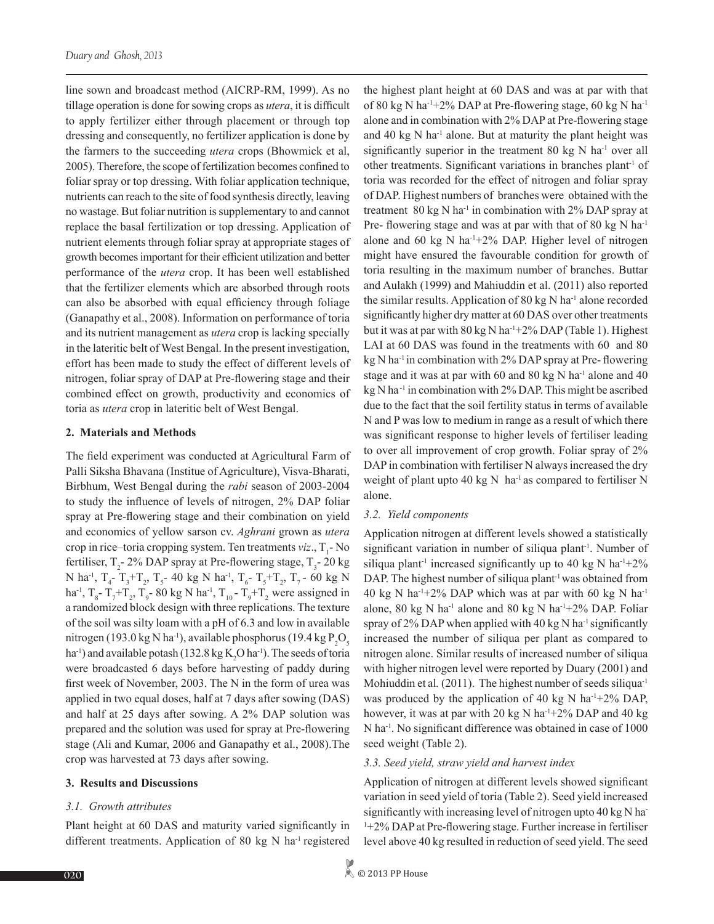line sown and broadcast method (AICRP-RM, 1999). As no tillage operation is done for sowing crops as *utera*, it is difficult to apply fertilizer either through placement or through top dressing and consequently, no fertilizer application is done by the farmers to the succeeding *utera* crops (Bhowmick et al, 2005). Therefore, the scope of fertilization becomes confined to foliar spray or top dressing. With foliar application technique, nutrients can reach to the site of food synthesis directly, leaving no wastage. But foliar nutrition is supplementary to and cannot replace the basal fertilization or top dressing. Application of nutrient elements through foliar spray at appropriate stages of growth becomes important for their efficient utilization and better performance of the *utera* crop. It has been well established that the fertilizer elements which are absorbed through roots can also be absorbed with equal efficiency through foliage (Ganapathy et al., 2008). Information on performance of toria and its nutrient management as *utera* crop is lacking specially in the lateritic belt of West Bengal. In the present investigation, effort has been made to study the effect of different levels of nitrogen, foliar spray of DAP at Pre-flowering stage and their combined effect on growth, productivity and economics of toria as *utera* crop in lateritic belt of West Bengal.

## **2. Materials and Methods**

The field experiment was conducted at Agricultural Farm of Palli Siksha Bhavana (Institue of Agriculture), Visva-Bharati, Birbhum, West Bengal during the *rabi* season of 2003-2004 to study the influence of levels of nitrogen, 2% DAP foliar spray at Pre-flowering stage and their combination on yield and economics of yellow sarson cv. *Aghrani* grown as *utera* crop in rice–toria cropping system. Ten treatments *viz*., T<sub>1</sub>-No fertiliser,  $T_2$ - 2% DAP spray at Pre-flowering stage,  $T_3$ - 20 kg N ha<sup>-1</sup>, T<sub>4</sub>-T<sub>3</sub>+T<sub>2</sub>, T<sub>5</sub>-40 kg N ha<sup>-1</sup>, T<sub>6</sub>-T<sub>5</sub>+T<sub>2</sub>, T<sub>7</sub>-60 kg N ha<sup>-1</sup>, T<sub>8</sub>-T<sub>7</sub>+T<sub>2</sub>, T<sub>9</sub>-80 kg N ha<sup>-1</sup>, T<sub>10</sub>-T<sub>9</sub>+T<sub>2</sub> were assigned in a randomized block design with three replications. The texture of the soil was silty loam with a pH of 6.3 and low in available nitrogen (193.0 kg N ha<sup>-1</sup>), available phosphorus (19.4 kg  $P_2O_5$ ha<sup>-1</sup>) and available potash (132.8 kg  $K_2O$  ha<sup>-1</sup>). The seeds of toria were broadcasted 6 days before harvesting of paddy during first week of November, 2003. The N in the form of urea was applied in two equal doses, half at 7 days after sowing (DAS) and half at 25 days after sowing. A 2% DAP solution was prepared and the solution was used for spray at Pre-flowering stage (Ali and Kumar, 2006 and Ganapathy et al., 2008).The crop was harvested at 73 days after sowing.

## **3. Results and Discussions**

## *3.1. Growth attributes*

Plant height at 60 DAS and maturity varied significantly in different treatments. Application of 80 kg N ha<sup>-1</sup> registered

the highest plant height at 60 DAS and was at par with that of 80 kg N ha-1+2% DAP at Pre-flowering stage, 60 kg N ha-1 alone and in combination with 2% DAP at Pre-flowering stage and 40 kg  $N$  ha<sup>-1</sup> alone. But at maturity the plant height was significantly superior in the treatment 80 kg N ha<sup>-1</sup> over all other treatments. Significant variations in branches plant-1 of toria was recorded for the effect of nitrogen and foliar spray of DAP. Highest numbers of branches were obtained with the treatment 80 kg N ha<sup>-1</sup> in combination with 2% DAP spray at Pre- flowering stage and was at par with that of 80 kg N ha<sup>-1</sup> alone and 60 kg N ha<sup>-1+2%</sup> DAP. Higher level of nitrogen might have ensured the favourable condition for growth of toria resulting in the maximum number of branches. Buttar and Aulakh (1999) and Mahiuddin et al. (2011) also reported the similar results. Application of 80 kg N ha<sup>-1</sup> alone recorded significantly higher dry matter at 60 DAS over other treatments but it was at par with  $80 \text{ kg N}$  ha<sup>-1+2%</sup> DAP (Table 1). Highest LAI at 60 DAS was found in the treatments with 60 and 80 kg N ha<sup>-1</sup> in combination with 2% DAP spray at Pre-flowering stage and it was at par with 60 and 80 kg N ha<sup>-1</sup> alone and 40 kg N ha<sup>-1</sup> in combination with 2% DAP. This might be ascribed due to the fact that the soil fertility status in terms of available N and P was low to medium in range as a result of which there was significant response to higher levels of fertiliser leading to over all improvement of crop growth. Foliar spray of 2% DAP in combination with fertiliser N always increased the dry weight of plant upto 40 kg N  $\,$  ha<sup>-1</sup> as compared to fertiliser N alone.

## *3.2. Yield components*

Application nitrogen at different levels showed a statistically significant variation in number of siliqua plant<sup>1</sup>. Number of siliqua plant<sup>-1</sup> increased significantly up to 40 kg N ha<sup>-1+2%</sup> DAP. The highest number of siliqua plant<sup>-1</sup> was obtained from 40 kg N ha<sup>-1+2%</sup> DAP which was at par with 60 kg N ha<sup>-1</sup> alone, 80 kg N ha<sup>-1</sup> alone and 80 kg N ha<sup>-1+2%</sup> DAP. Foliar spray of  $2\%$  DAP when applied with 40 kg N ha<sup>-1</sup> significantly increased the number of siliqua per plant as compared to nitrogen alone. Similar results of increased number of siliqua with higher nitrogen level were reported by Duary (2001) and Mohiuddin et al. (2011). The highest number of seeds siliqua<sup>-1</sup> was produced by the application of 40 kg N ha<sup>-1+2%</sup> DAP, however, it was at par with 20 kg N ha<sup>-1+2%</sup> DAP and 40 kg N ha-1. No significant difference was obtained in case of 1000 seed weight (Table 2).

## *3.3. Seed yield, straw yield and harvest index*

Application of nitrogen at different levels showed significant variation in seed yield of toria (Table 2). Seed yield increased significantly with increasing level of nitrogen upto 40 kg N ha-1 +2% DAP at Pre-flowering stage. Further increase in fertiliser level above 40 kg resulted in reduction of seed yield. The seed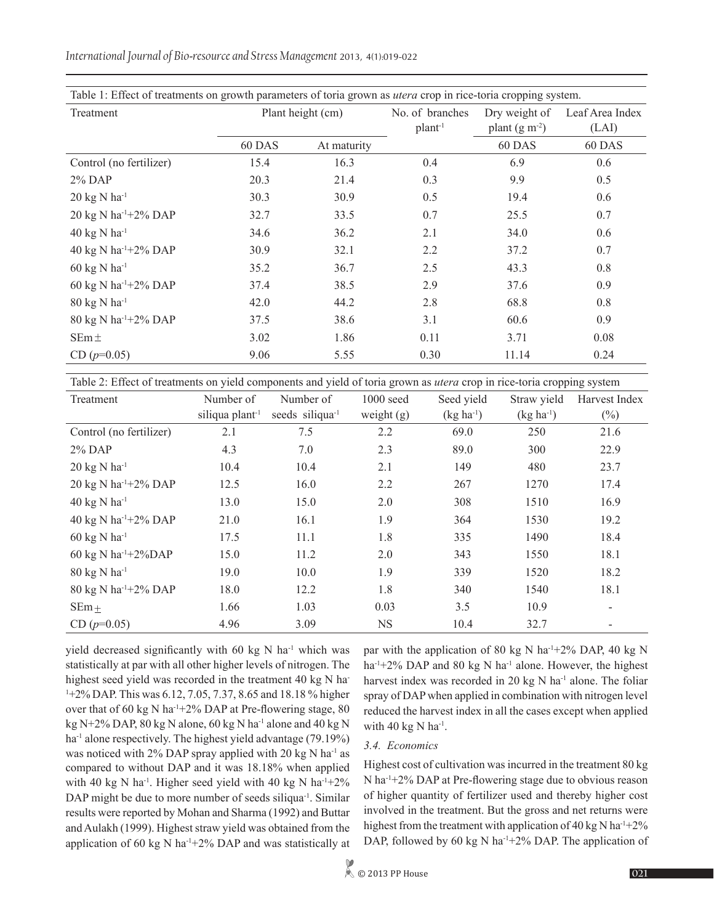*International Journal of Bio-resource and Stress Management* 2013, 4(1):019-022

| Table 1: Effect of treatments on growth parameters of toria grown as <i>utera</i> crop in rice-toria cropping system. |                   |             |                   |                |                 |  |  |
|-----------------------------------------------------------------------------------------------------------------------|-------------------|-------------|-------------------|----------------|-----------------|--|--|
| Treatment                                                                                                             | Plant height (cm) |             | No. of branches   | Dry weight of  | Leaf Area Index |  |  |
|                                                                                                                       |                   |             | plan <sup>1</sup> | plant $(g m2)$ | (LAI)           |  |  |
|                                                                                                                       | 60 DAS            | At maturity |                   | 60 DAS         | 60 DAS          |  |  |
| Control (no fertilizer)                                                                                               | 15.4              | 16.3        | 0.4               | 6.9            | 0.6             |  |  |
| $2\%$ DAP                                                                                                             | 20.3              | 21.4        | 0.3               | 9.9            | 0.5             |  |  |
| $20 \text{ kg N} \text{ ha}^{-1}$                                                                                     | 30.3              | 30.9        | 0.5               | 19.4           | 0.6             |  |  |
| 20 kg N ha <sup>-1+2%</sup> DAP                                                                                       | 32.7              | 33.5        | 0.7               | 25.5           | 0.7             |  |  |
| $40 \text{ kg}$ N ha <sup>-1</sup>                                                                                    | 34.6              | 36.2        | 2.1               | 34.0           | 0.6             |  |  |
| 40 kg N ha <sup>-1+2%</sup> DAP                                                                                       | 30.9              | 32.1        | 2.2               | 37.2           | 0.7             |  |  |
| $60 \text{ kg N} \text{ ha}^{-1}$                                                                                     | 35.2              | 36.7        | 2.5               | 43.3           | 0.8             |  |  |
| 60 kg N ha $^{-1}$ +2% DAP                                                                                            | 37.4              | 38.5        | 2.9               | 37.6           | 0.9             |  |  |
| $80 \text{ kg N} \text{ ha}^{-1}$                                                                                     | 42.0              | 44.2        | 2.8               | 68.8           | 0.8             |  |  |
| 80 kg N ha <sup>-1+2%</sup> DAP                                                                                       | 37.5              | 38.6        | 3.1               | 60.6           | 0.9             |  |  |
| $SEm \pm$                                                                                                             | 3.02              | 1.86        | 0.11              | 3.71           | 0.08            |  |  |
| $CD (p=0.05)$                                                                                                         | 9.06              | 5.55        | 0.30              | 11.14          | 0.24            |  |  |

Table 2: Effect of treatments on yield components and yield of toria grown as *utera* crop in rice-toria cropping system

| Treatment                                 | Number of                   | Number of                   | $1000$ seed  | Seed yield     | Straw yield    | Harvest Index |
|-------------------------------------------|-----------------------------|-----------------------------|--------------|----------------|----------------|---------------|
|                                           | siliqua plant <sup>-1</sup> | seeds siliqua <sup>-1</sup> | weight $(g)$ | $(kg ha^{-1})$ | $(kg ha^{-1})$ | $(\%)$        |
| Control (no fertilizer)                   | 2.1                         | 7.5                         | 2.2          | 69.0           | 250            | 21.6          |
| $2\%$ DAP                                 | 4.3                         | 7.0                         | 2.3          | 89.0           | 300            | 22.9          |
| $20 \text{ kg} \text{ N} \text{ ha}^{-1}$ | 10.4                        | 10.4                        | 2.1          | 149            | 480            | 23.7          |
| 20 kg N ha $^{-1}$ +2% DAP                | 12.5                        | 16.0                        | 2.2          | 267            | 1270           | 17.4          |
| $40 \text{ kg}$ N ha <sup>-1</sup>        | 13.0                        | 15.0                        | 2.0          | 308            | 1510           | 16.9          |
| 40 kg N ha $^{-1}$ +2% DAP                | 21.0                        | 16.1                        | 1.9          | 364            | 1530           | 19.2          |
| $60 \text{ kg N} \text{ ha}^{-1}$         | 17.5                        | 11.1                        | 1.8          | 335            | 1490           | 18.4          |
| 60 kg N ha $^{-1}$ +2%DAP                 | 15.0                        | 11.2                        | 2.0          | 343            | 1550           | 18.1          |
| 80 kg N ha <sup>-1</sup>                  | 19.0                        | 10.0                        | 1.9          | 339            | 1520           | 18.2          |
| 80 kg N ha <sup>-1+2%</sup> DAP           | 18.0                        | 12.2                        | 1.8          | 340            | 1540           | 18.1          |
| SEm <sub>±</sub>                          | 1.66                        | 1.03                        | 0.03         | 3.5            | 10.9           | -             |
| $CD (p=0.05)$                             | 4.96                        | 3.09                        | <b>NS</b>    | 10.4           | 32.7           |               |

yield decreased significantly with 60 kg N ha<sup>-1</sup> which was statistically at par with all other higher levels of nitrogen. The highest seed yield was recorded in the treatment 40 kg N ha-1 +2% DAP. This was 6.12, 7.05, 7.37, 8.65 and 18.18 % higher over that of 60 kg N ha<sup>-1+2%</sup> DAP at Pre-flowering stage, 80 kg N+2% DAP, 80 kg N alone, 60 kg N ha<sup>-1</sup> alone and 40 kg N ha<sup>-1</sup> alone respectively. The highest yield advantage (79.19%) was noticed with 2% DAP spray applied with 20 kg N ha<sup>-1</sup> as compared to without DAP and it was 18.18% when applied with 40 kg N ha<sup>-1</sup>. Higher seed yield with 40 kg N ha<sup>-1+2%</sup> DAP might be due to more number of seeds siliqua<sup>-1</sup>. Similar results were reported by Mohan and Sharma (1992) and Buttar and Aulakh (1999). Highest straw yield was obtained from the application of 60 kg N ha-1+2% DAP and was statistically at

par with the application of 80 kg N ha<sup>-1+2%</sup> DAP, 40 kg N ha<sup>-1</sup>+2% DAP and 80 kg N ha<sup>-1</sup> alone. However, the highest harvest index was recorded in 20 kg  $N$  ha<sup>-1</sup> alone. The foliar spray of DAP when applied in combination with nitrogen level reduced the harvest index in all the cases except when applied with 40 kg  $N$  ha<sup>-1</sup>.

## *3.4. Economics*

Highest cost of cultivation was incurred in the treatment 80 kg N ha-1+2% DAP at Pre-flowering stage due to obvious reason of higher quantity of fertilizer used and thereby higher cost involved in the treatment. But the gross and net returns were highest from the treatment with application of 40 kg N ha<sup>-1+2%</sup> DAP, followed by 60 kg N ha<sup>-1+2%</sup> DAP. The application of